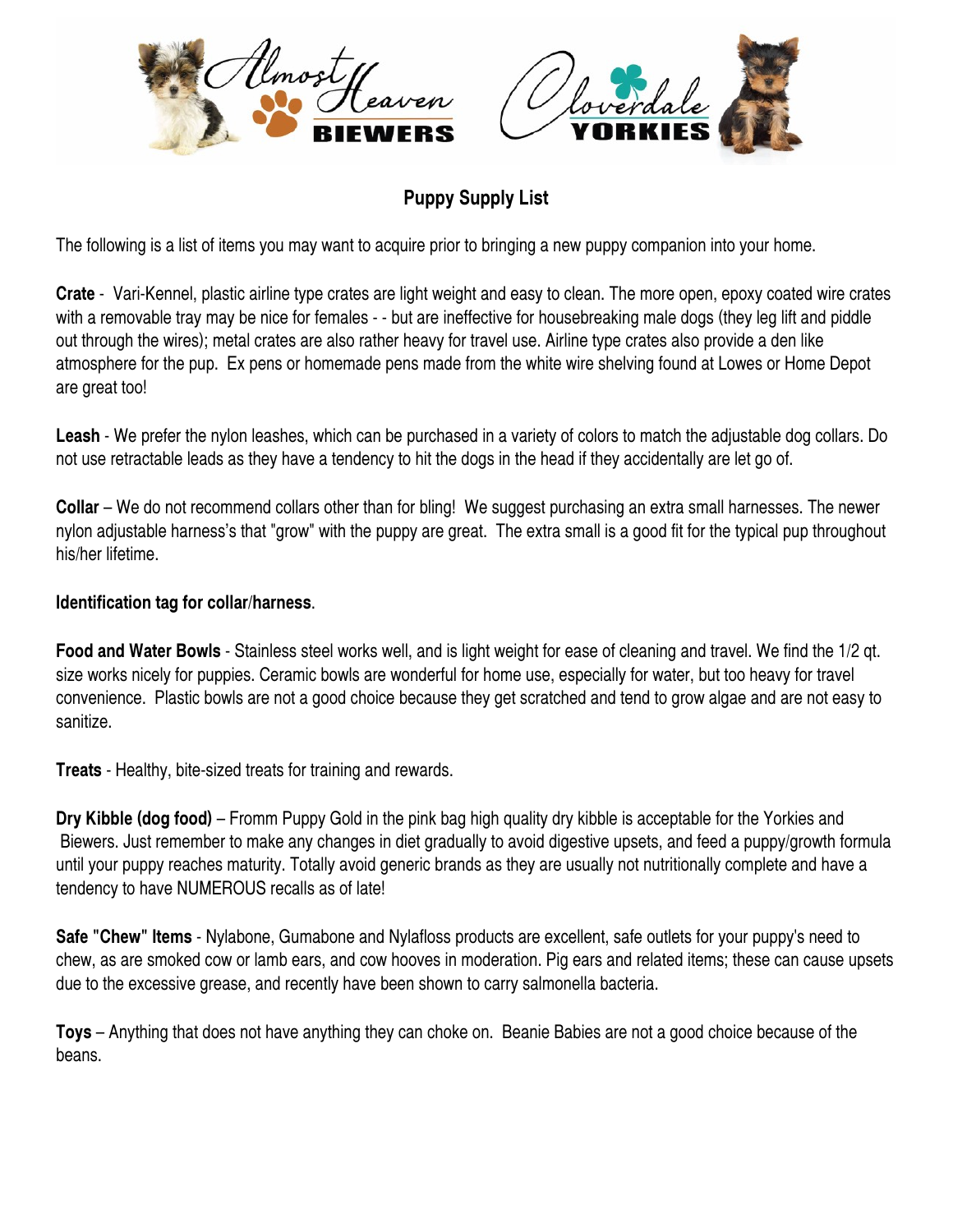



## **Puppy Supply List**

The following is a list of items you may want to acquire prior to bringing a new puppy companion into your home.

**Crate** - Vari-Kennel, plastic airline type crates are light weight and easy to clean. The more open, epoxy coated wire crates with a removable tray may be nice for females - - but are ineffective for housebreaking male dogs (they leg lift and piddle out through the wires); metal crates are also rather heavy for travel use. Airline type crates also provide a den like atmosphere for the pup. Ex pens or homemade pens made from the white wire shelving found at Lowes or Home Depot are great too!

**Leash** - We prefer the nylon leashes, which can be purchased in a variety of colors to match the adjustable dog collars. Do not use retractable leads as they have a tendency to hit the dogs in the head if they accidentally are let go of.

**Collar** – We do not recommend collars other than for bling! We suggest purchasing an extra small harnesses. The newer nylon adjustable harness's that "grow" with the puppy are great. The extra small is a good fit for the typical pup throughout his/her lifetime.

## **Identification tag for collar/harness**.

**Food and Water Bowls** - Stainless steel works well, and is light weight for ease of cleaning and travel. We find the 1/2 qt. size works nicely for puppies. Ceramic bowls are wonderful for home use, especially for water, but too heavy for travel convenience. Plastic bowls are not a good choice because they get scratched and tend to grow algae and are not easy to sanitize.

**Treats** - Healthy, bite-sized treats for training and rewards.

**Dry Kibble (dog food)** – Fromm Puppy Gold in the pink bag high quality dry kibble is acceptable for the Yorkies and Biewers. Just remember to make any changes in diet gradually to avoid digestive upsets, and feed a puppy/growth formula until your puppy reaches maturity. Totally avoid generic brands as they are usually not nutritionally complete and have a tendency to have NUMEROUS recalls as of late!

**Safe "Chew" Items** - Nylabone, Gumabone and Nylafloss products are excellent, safe outlets for your puppy's need to chew, as are smoked cow or lamb ears, and cow hooves in moderation. Pig ears and related items; these can cause upsets due to the excessive grease, and recently have been shown to carry salmonella bacteria.

**Toys** – Anything that does not have anything they can choke on. Beanie Babies are not a good choice because of the beans.